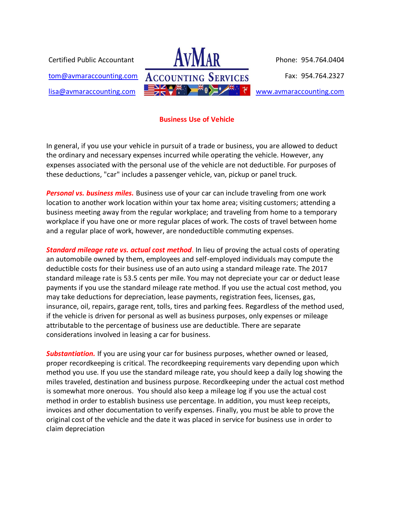Certified Public Accountant

[tom@avmaraccounting.com](mailto:tom@avmaraccounting.com) [lisa@avmaraccounting.com](mailto:lisa@avmaraccounting.com)



[www.avmaraccounting.com](http://www.avmaraccounting.com/)

## **Business Use of Vehicle**

In general, if you use your vehicle in pursuit of a trade or business, you are allowed to deduct the ordinary and necessary expenses incurred while operating the vehicle. However, any expenses associated with the personal use of the vehicle are not deductible. For purposes of these deductions, "car" includes a passenger vehicle, van, pickup or panel truck.

*Personal vs. business miles.* Business use of your car can include traveling from one work location to another work location within your tax home area; visiting customers; attending a business meeting away from the regular workplace; and traveling from home to a temporary workplace if you have one or more regular places of work. The costs of travel between home and a regular place of work, however, are nondeductible commuting expenses.

*Standard mileage rate vs. actual cost method*. In lieu of proving the actual costs of operating an automobile owned by them, employees and self-employed individuals may compute the deductible costs for their business use of an auto using a standard mileage rate. The 2017 standard mileage rate is 53.5 cents per mile. You may not depreciate your car or deduct lease payments if you use the standard mileage rate method. If you use the actual cost method, you may take deductions for depreciation, lease payments, registration fees, licenses, gas, insurance, oil, repairs, garage rent, tolls, tires and parking fees. Regardless of the method used, if the vehicle is driven for personal as well as business purposes, only expenses or mileage attributable to the percentage of business use are deductible. There are separate considerations involved in leasing a car for business.

*Substantiation.* If you are using your car for business purposes, whether owned or leased, proper recordkeeping is critical. The recordkeeping requirements vary depending upon which method you use. If you use the standard mileage rate, you should keep a daily log showing the miles traveled, destination and business purpose. Recordkeeping under the actual cost method is somewhat more onerous. You should also keep a mileage log if you use the actual cost method in order to establish business use percentage. In addition, you must keep receipts, invoices and other documentation to verify expenses. Finally, you must be able to prove the original cost of the vehicle and the date it was placed in service for business use in order to claim depreciation